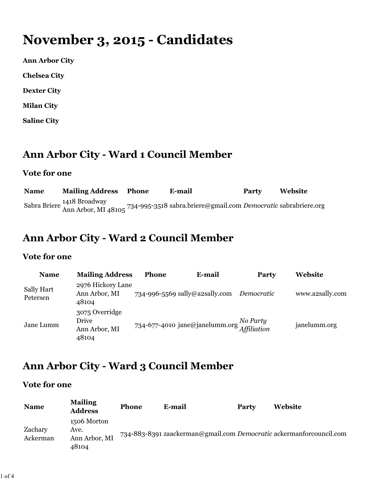# **November 3, 2015 - Candidates**

**Ann Arbor City**

**Chelsea City**

**Dexter City**

**Milan City**

**Saline City**

### **Ann Arbor City - Ward 1 Council Member**

#### **Vote for one**

| <b>Name</b> | <b>Mailing Address Phone</b> | E-mail                                                                                                           | Party | Website |
|-------------|------------------------------|------------------------------------------------------------------------------------------------------------------|-------|---------|
|             |                              | Sabra Briere 1418 Broadway<br>Ann Arbor, MI 48105 734-995-3518 sabra.briere@gmail.com Democratic sabrabriere.org |       |         |

### **Ann Arbor City - Ward 2 Council Member**

#### **Vote for one**

| <b>Name</b>                   | <b>Mailing Address</b>                            | <b>Phone</b> | E-mail                         | <b>Party</b> | <b>Website</b>  |
|-------------------------------|---------------------------------------------------|--------------|--------------------------------|--------------|-----------------|
| <b>Sally Hart</b><br>Petersen | 2976 Hickory Lane<br>Ann Arbor, MI<br>48104       |              | 734-996-5569 sally@a2sally.com | Democratic   | www.a2sally.com |
| Jane Lumm                     | 3075 Overridge<br>Drive<br>Ann Arbor, MI<br>48104 |              | 734-677-4010 jane@janelumm.org | No Party     | janelumm.org    |

### **Ann Arbor City - Ward 3 Council Member**

#### **Vote for one**

| <b>Name</b>         | <b>Mailing</b><br><b>Address</b>              | <b>Phone</b> | E-mail | Party | Website                                                             |
|---------------------|-----------------------------------------------|--------------|--------|-------|---------------------------------------------------------------------|
| Zachary<br>Ackerman | 1506 Morton<br>Ave.<br>Ann Arbor, MI<br>48104 |              |        |       | 734-883-8391 zaackerman@gmail.com Democratic ackermanforcouncil.com |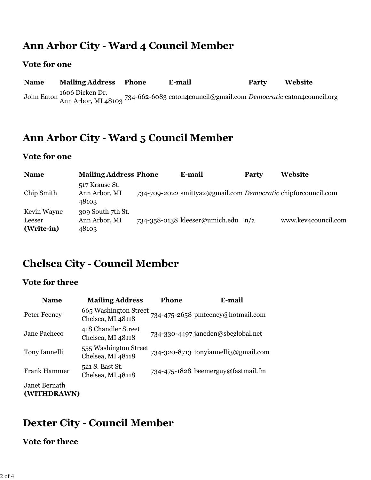### **Ann Arbor City - Ward 4 Council Member**

#### **Vote for one**

| <b>Name</b> | <b>Mailing Address</b> | Phone | E-mail                                                                                                                  | Party | Website |
|-------------|------------------------|-------|-------------------------------------------------------------------------------------------------------------------------|-------|---------|
|             | 1606 Dicken Dr.        |       | John Eaton 1000 DICKER Dr.<br>Ann Arbor, MI 48103 734-662-6083 eaton 4 council@gmail.com Democratic eaton 4 council.org |       |         |

### **Ann Arbor City - Ward 5 Council Member**

#### **Vote for one**

| <b>Name</b>                         | <b>Mailing Address Phone</b>                | E-mail                                                        | Party | Website             |
|-------------------------------------|---------------------------------------------|---------------------------------------------------------------|-------|---------------------|
| Chip Smith                          | 517 Krause St.<br>Ann Arbor, MI<br>48103    | 734-709-2022 smittya2@gmail.com Democratic chipforcouncil.com |       |                     |
| Kevin Wayne<br>Leeser<br>(Write-in) | 309 South 7th St.<br>Ann Arbor, MI<br>48103 | $734 - 358 - 0138$ kleeser@umich.edu                          | n/a   | www.kev4council.com |

### **Chelsea City - Council Member**

#### **Vote for three**

| <b>Name</b>                  | <b>Mailing Address</b>                     | <b>Phone</b> | E-mail                               |
|------------------------------|--------------------------------------------|--------------|--------------------------------------|
| Peter Feeney                 | 665 Washington Street<br>Chelsea, MI 48118 |              | 734-475-2658 pmfeeney@hotmail.com    |
| Jane Pacheco                 | 418 Chandler Street<br>Chelsea, MI 48118   |              | 734-330-4497 janeden@sbcglobal.net   |
| Tony Iannelli                | 555 Washington Street<br>Chelsea, MI 48118 |              | 734-320-8713 tonyiannelli3@gmail.com |
| <b>Frank Hammer</b>          | 521 S. East St.<br>Chelsea, MI 48118       |              | 734-475-1828 beemerguy@fastmail.fm   |
| Janet Bernath<br>(WITHDRAWN) |                                            |              |                                      |

### **Dexter City - Council Member**

#### **Vote for three**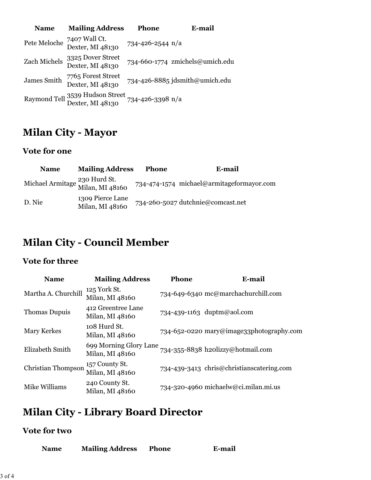| <b>Name</b>  | <b>Mailing Address</b>                              | <b>Phone</b>     | <b>E-mail</b>                   |
|--------------|-----------------------------------------------------|------------------|---------------------------------|
| Pete Meloche | 7407 Wall Ct.<br>Dexter, MI 48130                   | 734-426-2544 n/a |                                 |
| Zach Michels | 3325 Dover Street<br>Dexter, MI 48130               |                  | 734-660-1774 zmichels@umich.edu |
| James Smith  | 7765 Forest Street<br>Dexter, MI 48130              |                  | 734-426-8885 jdsmith@umich.edu  |
|              | Raymond Tell 3539 Hudson Street<br>Dexter, MI 48130 | 734-426-3398 n/a |                                 |

### **Milan City - Mayor**

#### **Vote for one**

| <b>Name</b>                                      | <b>Mailing Address</b>              | <b>Phone</b> | E-mail                                    |
|--------------------------------------------------|-------------------------------------|--------------|-------------------------------------------|
| Michael Armitage 230 Hurd St.<br>Milan, MI 48160 |                                     |              | 734-474-1574 michael@armitageformayor.com |
| D. Nie                                           | 1309 Pierce Lane<br>Milan, MI 48160 |              | 734-260-5027 dutchnie@comcast.net         |

### **Milan City - Council Member**

#### **Vote for three**

| <b>Name</b>               | <b>Mailing Address</b>                    | <b>Phone</b> | E-mail                                    |
|---------------------------|-------------------------------------------|--------------|-------------------------------------------|
| Martha A. Churchill       | 125 York St.<br>Milan, MI 48160           |              | 734-649-6340 mc@marchachurchill.com       |
| Thomas Dupuis             | 412 Greentree Lane<br>Milan, MI 48160     |              | 734-439-1163 duptm@aol.com                |
| <b>Mary Kerkes</b>        | 108 Hurd St.<br>Milan, MI 48160           |              | 734-652-0220 mary@image33photography.com  |
| Elizabeth Smith           | 699 Morning Glory Lane<br>Milan, MI 48160 |              | 734-355-8838 h2olizzy@hotmail.com         |
| <b>Christian Thompson</b> | 157 County St.<br>Milan, MI 48160         |              | 734-439-3413 chris@christianscatering.com |
| Mike Williams             | 240 County St.<br>Milan, MI 48160         |              | 734-320-4960 michaelw@ci.milan.mi.us      |

## **Milan City - Library Board Director**

#### **Vote for two**

| <b>Name</b> | <b>Mailing Address</b> | <b>Phone</b> | E-mail |
|-------------|------------------------|--------------|--------|
|-------------|------------------------|--------------|--------|